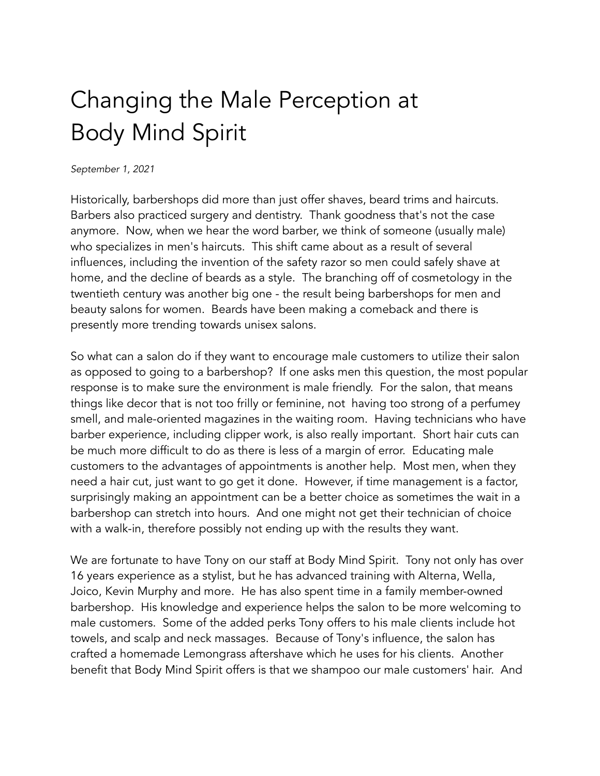## Changing the Male Perception at Body Mind Spirit

## *September 1, 2021*

Historically, barbershops did more than just offer shaves, beard trims and haircuts. Barbers also practiced surgery and dentistry. Thank goodness that's not the case anymore. Now, when we hear the word barber, we think of someone (usually male) who specializes in men's haircuts. This shift came about as a result of several influences, including the invention of the safety razor so men could safely shave at home, and the decline of beards as a style. The branching off of cosmetology in the twentieth century was another big one - the result being barbershops for men and beauty salons for women. Beards have been making a comeback and there is presently more trending towards unisex salons.

So what can a salon do if they want to encourage male customers to utilize their salon as opposed to going to a barbershop? If one asks men this question, the most popular response is to make sure the environment is male friendly. For the salon, that means things like decor that is not too frilly or feminine, not having too strong of a perfumey smell, and male-oriented magazines in the waiting room. Having technicians who have barber experience, including clipper work, is also really important. Short hair cuts can be much more difficult to do as there is less of a margin of error. Educating male customers to the advantages of appointments is another help. Most men, when they need a hair cut, just want to go get it done. However, if time management is a factor, surprisingly making an appointment can be a better choice as sometimes the wait in a barbershop can stretch into hours. And one might not get their technician of choice with a walk-in, therefore possibly not ending up with the results they want.

We are fortunate to have Tony on our staff at Body Mind Spirit. Tony not only has over 16 years experience as a stylist, but he has advanced training with Alterna, Wella, Joico, Kevin Murphy and more. He has also spent time in a family member-owned barbershop. His knowledge and experience helps the salon to be more welcoming to male customers. Some of the added perks Tony offers to his male clients include hot towels, and scalp and neck massages. Because of Tony's influence, the salon has crafted a homemade Lemongrass aftershave which he uses for his clients. Another benefit that Body Mind Spirit offers is that we shampoo our male customers' hair. And